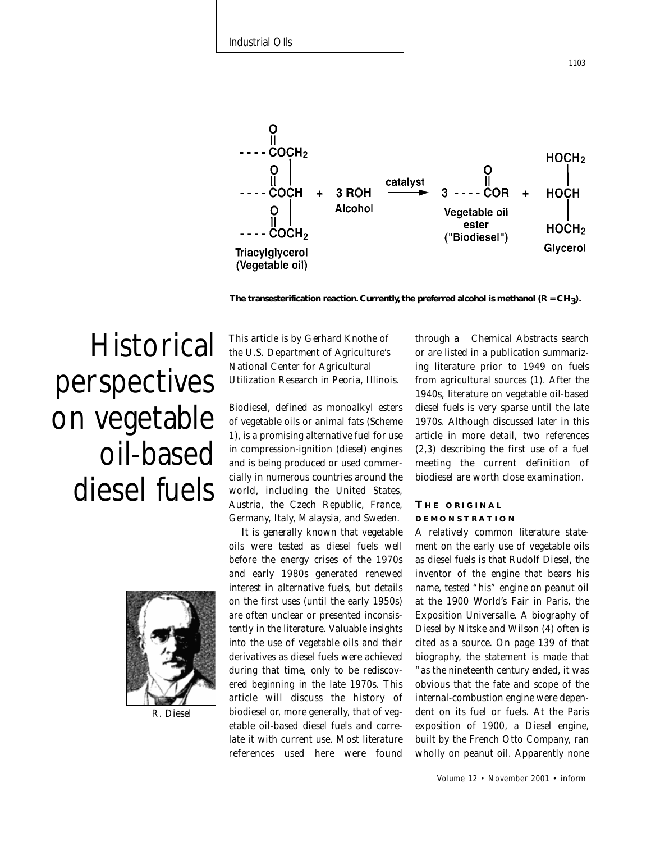

The transesterification reaction. Currently, the preferred alcohol is methanol  $(R = CH<sub>3</sub>)$ .

# **Historical** perspectives on vegetable oil-based diesel fuels



R. Diesel

## *This article is by Gerhard Knothe of the U.S. Department of Agriculture's National Center for Agricultural Utilization Research in Peoria, Illinois.*

Biodiesel, defined as monoalkyl esters of vegetable oils or animal fats (Scheme 1), is a promising alternative fuel for use in compression-ignition (diesel) engines and is being produced or used commercially in numerous countries around the world, including the United States, Austria, the Czech Republic, France, Germany, Italy, Malaysia, and Sweden.

It is generally known that vegetable oils were tested as diesel fuels well before the energy crises of the 1970s and early 1980s generated renewed interest in alternative fuels, but details on the first uses (until the early 1950s) are often unclear or presented inconsistently in the literature. Valuable insights into the use of vegetable oils and their derivatives as diesel fuels were achieved during that time, only to be rediscovered beginning in the late 1970s. This article will discuss the history of biodiesel or, more generally, that of vegetable oil-based diesel fuels and correlate it with current use. Most literature references used here were found

through a *Chemical Abstracts* search or are listed in a publication summarizing literature prior to 1949 on fuels from agricultural sources (1). After the 1940s, literature on vegetable oil-based diesel fuels is very sparse until the late 1970s. Although discussed later in this article in more detail, two references (2,3) describing the first use of a fuel meeting the current definition of biodiesel are worth close examination.

### **T HE ORIGINAL DEMONSTRATION**

A relatively common literature statement on the early use of vegetable oils as diesel fuels is that Rudolf Diesel, the inventor of the engine that bears his name, tested "his" engine on peanut oil at the 1900 World's Fair in Paris, the Exposition Universalle. A biography of Diesel by Nitske and Wilson (4) often is cited as a source. On page 139 of that biography, the statement is made that "as the nineteenth century ended, it was obvious that the fate and scope of the internal-combustion engine were dependent on its fuel or fuels. At the Paris exposition of 1900, a Diesel engine, built by the French Otto Company, ran wholly on peanut oil. Apparently none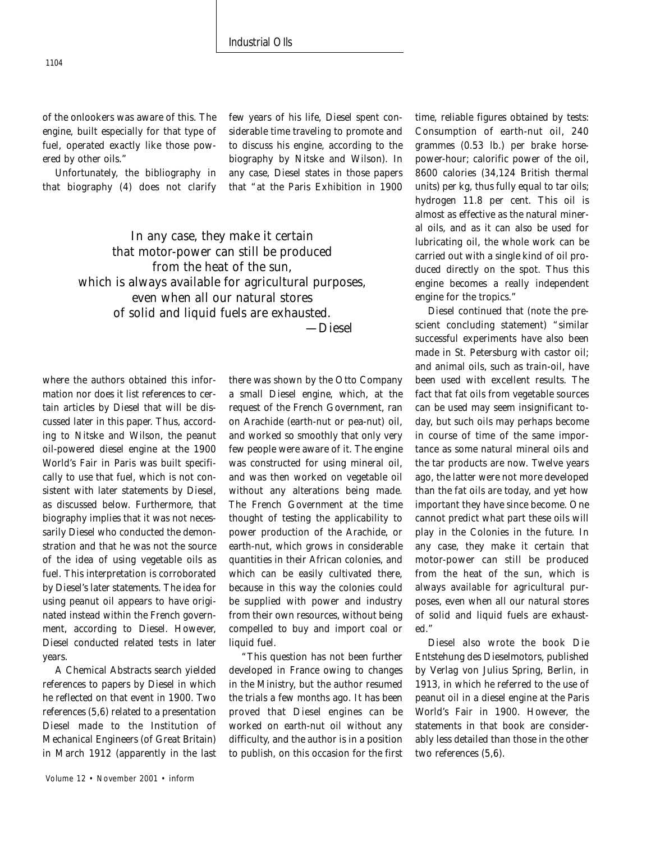of the onlookers was aware of this. The engine, built especially for that type of fuel, operated exactly like those powered by other oils."

Unfortunately, the bibliography in that biography (4) does not clarify

few years of his life, Diesel spent considerable time traveling to promote and to discuss his engine, according to the biography by Nitske and Wilson). In any case, Diesel states in those papers that *"at the Paris Exhibition in 1900*

*In any case, they make it certain that motor-power can still be produced from the heat of the sun, which is always available for agricultural purposes, even when all our natural stores of solid and liquid fuels are exhausted. —Diesel*

where the authors obtained this information nor does it list references to certain articles by Diesel that will be discussed later in this paper. Thus, according to Nitske and Wilson, the peanut oil-powered diesel engine at the 1900 World's Fair in Paris was built specifically to use that fuel, which is not consistent with later statements by Diesel, as discussed below. Furthermore, that biography implies that it was not necessarily Diesel who conducted the demonstration and that he was not the source of the idea of using vegetable oils as fuel. This interpretation is corroborated by Diesel's later statements. The idea for using peanut oil appears to have originated instead within the French government, according to Diesel. However, Diesel conducted related tests in later years.

A *Chemical Abstracts* search yielded references to papers by Diesel in which he reflected on that event in 1900. Two references (5,6) related to a presentation Diesel made to the Institution of Mechanical Engineers (of Great Britain) in March 1912 (apparently in the last

*there was shown by the Otto Company a small Diesel engine, which, at the request of the French Government, ran on Arachide (earth-nut or pea-nut) oil, and worked so smoothly that only very few people were aware of it. The engine was constructed for using mineral oil, and was then worked on vegetable oil without any alterations being made. The French Government at the time thought of testing the applicability to power production of the Arachide, or earth-nut, which grows in considerable quantities in their African colonies, and which can be easily cultivated there, because in this way the colonies could be supplied with power and industry from their own resources, without being compelled to buy and import coal or liquid fuel.*

*"This question has not been further developed in France owing to changes in the Ministry, but the author resumed the trials a few months ago. It has been proved that Diesel engines can be worked on earth-nut oil without any difficulty, and the author is in a position to publish, on this occasion for the first*

*time, reliable figures obtained by tests: Consumption of earth-nut oil, 240 grammes (0.53 lb.) per brake horsepower-hour; calorific power of the oil, 8600 calories (34,124 British thermal units) per kg, thus fully equal to tar oils; hydrogen 11.8 per cent. This oil is almost as effective as the natural mineral oils, and as it can also be used for lubricating oil, the whole work can be carried out with a single kind of oil produced directly on the spot. Thus this engine becomes a really independent engine for the tropics."* 

Diesel continued that (note the prescient concluding statement) *"similar successful experiments have also been made in St. Petersburg with castor oil; and animal oils, such as train-oil, have been used with excellent results. The fact that fat oils from vegetable sources can be used may seem insignificant today, but such oils may perhaps become in course of time of the same importance as some natural mineral oils and the tar products are now. Twelve years ago, the latter were not more developed than the fat oils are today, and yet how important they have since become. One cannot predict what part these oils will play in the Colonies in the future. In any case, they make it certain that motor-power can still be produced from the heat of the sun, which is always available for agricultural purposes, even when all our natural stores of solid and liquid fuels are exhausted."* 

Diesel also wrote the book *Die Entstehung des Dieselmotors*, published by Verlag von Julius Spring, Berlin, in 1913, in which he referred to the use of peanut oil in a diesel engine at the Paris World's Fair in 1900. However, the statements in that book are considerably less detailed than those in the other two references (5,6).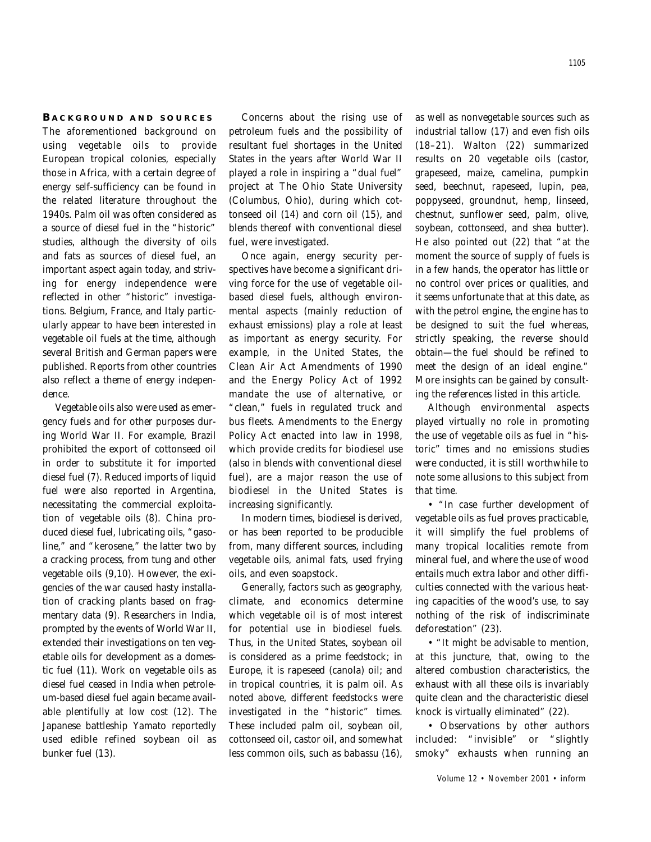1105

**B A CKGROUND AND SOURCES** The aforementioned background on using vegetable oils to provide European tropical colonies, especially those in Africa, with a certain degree of energy self-sufficiency can be found in the related literature throughout the 1940s. Palm oil was often considered as a source of diesel fuel in the "historic" studies, although the diversity of oils and fats as sources of diesel fuel, an important aspect again today, and striving for energy independence were reflected in other "historic" investigations. Belgium, France, and Italy particularly appear to have been interested in vegetable oil fuels at the time, although several British and German papers were published. Reports from other countries also reflect a theme of energy independence.

Vegetable oils also were used as emergency fuels and for other purposes during World War II. For example, Brazil prohibited the export of cottonseed oil in order to substitute it for imported diesel fuel (7). Reduced imports of liquid fuel were also reported in Argentina, necessitating the commercial exploitation of vegetable oils (8). China produced diesel fuel, lubricating oils, "gasoline," and "kerosene," the latter two by a cracking process, from tung and other vegetable oils (9,10). However, the exigencies of the war caused hasty installation of cracking plants based on fragmentary data (9). Researchers in India, prompted by the events of World War II, extended their investigations on ten vegetable oils for development as a domestic fuel (11). Work on vegetable oils as diesel fuel ceased in India when petroleum-based diesel fuel again became available plentifully at low cost (12). The Japanese battleship *Yamato* reportedly used edible refined soybean oil as bunker fuel (13).

Concerns about the rising use of petroleum fuels and the possibility of resultant fuel shortages in the United States in the years after World War II played a role in inspiring a "dual fuel" project at The Ohio State University (Columbus, Ohio), during which cottonseed oil (14) and corn oil (15), and blends thereof with conventional diesel fuel, were investigated.

Once again, energy security perspectives have become a significant driving force for the use of vegetable oilbased diesel fuels, although environmental aspects (mainly reduction of exhaust emissions) play a role at least as important as energy security. For example, in the United States, the Clean Air Act Amendments of 1990 and the Energy Policy Act of 1992 mandate the use of alternative, or "clean," fuels in regulated truck and bus fleets. Amendments to the Energy Policy Act enacted into law in 1998, which provide credits for biodiesel use (also in blends with conventional diesel fuel), are a major reason the use of biodiesel in the United States is increasing significantly.

In modern times, biodiesel is derived, or has been reported to be producible from, many different sources, including vegetable oils, animal fats, used frying oils, and even soapstock.

Generally, factors such as geography, climate, and economics determine which vegetable oil is of most interest for potential use in biodiesel fuels. Thus, in the United States, soybean oil is considered as a prime feedstock; in Europe, it is rapeseed (canola) oil; and in tropical countries, it is palm oil. As noted above, different feedstocks were investigated in the "historic" times. These included palm oil, soybean oil, cottonseed oil, castor oil, and somewhat less common oils, such as babassu (16),

as well as nonvegetable sources such as industrial tallow (17) and even fish oils (18–21). Walton (22) summarized results on 20 vegetable oils (castor, grapeseed, maize, camelina, pumpkin seed, beechnut, rapeseed, lupin, pea, poppyseed, groundnut, hemp, linseed, chestnut, sunflower seed, palm, olive, soybean, cottonseed, and shea butter). He also pointed out (22) that "at the moment the source of supply of fuels is in a few hands, the operator has little or no control over prices or qualities, and it seems unfortunate that at this date, as with the petrol engine, the engine has to be designed to suit the fuel whereas, strictly speaking, the reverse should obtain—the fuel should be refined to meet the design of an ideal engine." More insights can be gained by consulting the references listed in this article.

Although environmental aspects played virtually no role in promoting the use of vegetable oils as fuel in "historic" times and no emissions studies were conducted, it is still worthwhile to note some allusions to this subject from that time.

• "In case further development of vegetable oils as fuel proves practicable, it will simplify the fuel problems of many tropical localities remote from mineral fuel, and where the use of wood entails much extra labor and other difficulties connected with the various heating capacities of the wood's use, to say nothing of the risk of indiscriminate deforestation" (23).

• "It might be advisable to mention, at this juncture, that, owing to the altered combustion characteristics, the exhaust with all these oils is invariably quite clean and the characteristic diesel knock is virtually eliminated" (22).

• Observations by other authors included: "invisible" or "slightly smoky" exhausts when running an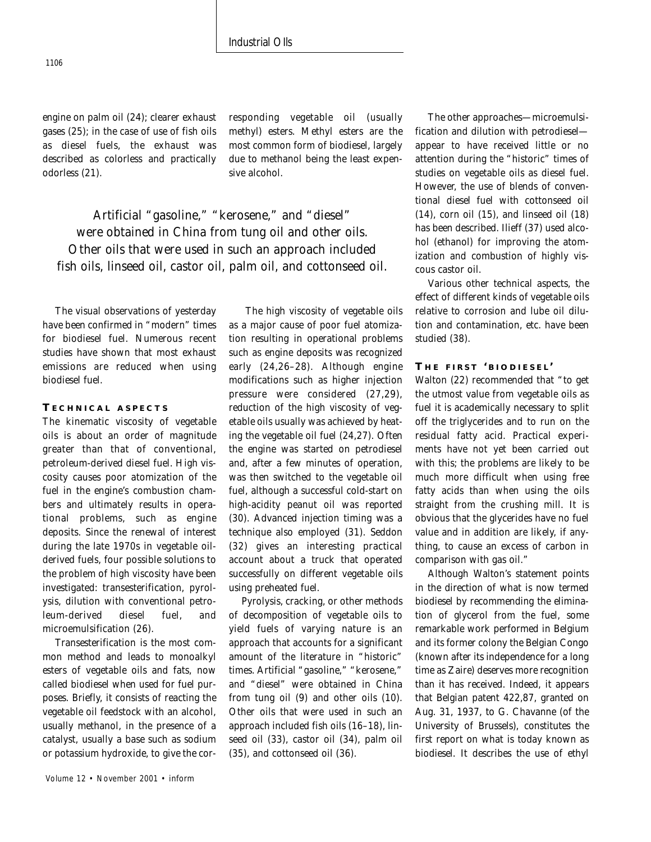engine on palm oil (24); clearer exhaust gases (25); in the case of use of fish oils as diesel fuels, the exhaust was described as colorless and practically odorless (21).

responding vegetable oil (usually methyl) esters. Methyl esters are the most common form of biodiesel, largely due to methanol being the least expensive alcohol.

*Artificial "gasoline," "kerosene," and "diesel" were obtained in China from tung oil and other oils. Other oils that were used in such an approach included fish oils, linseed oil, castor oil, palm oil, and cottonseed oil.*

The visual observations of yesterday have been confirmed in "modern" times for biodiesel fuel. Numerous recent studies have shown that most exhaust emissions are reduced when using biodiesel fuel.

#### **T ECHNICAL ASPECTS**

The kinematic viscosity of vegetable oils is about an order of magnitude greater than that of conventional, petroleum-derived diesel fuel. High viscosity causes poor atomization of the fuel in the engine's combustion chambers and ultimately results in operational problems, such as engine deposits. Since the renewal of interest during the late 1970s in vegetable oilderived fuels, four possible solutions to the problem of high viscosity have been investigated: transesterification, pyrolysis, dilution with conventional petroleum-derived diesel fuel, and microemulsification (26).

Transesterification is the most common method and leads to monoalkyl esters of vegetable oils and fats, now called biodiesel when used for fuel purposes. Briefly, it consists of reacting the vegetable oil feedstock with an alcohol, usually methanol, in the presence of a catalyst, usually a base such as sodium or potassium hydroxide, to give the cor-

The high viscosity of vegetable oils as a major cause of poor fuel atomization resulting in operational problems such as engine deposits was recognized early (24,26–28). Although engine modifications such as higher injection pressure were considered (27,29), reduction of the high viscosity of vegetable oils usually was achieved by heating the vegetable oil fuel (24,27). Often the engine was started on petrodiesel and, after a few minutes of operation, was then switched to the vegetable oil fuel, although a successful cold-start on high-acidity peanut oil was reported (30). Advanced injection timing was a technique also employed (31). Seddon (32) gives an interesting practical account about a truck that operated successfully on different vegetable oils using preheated fuel.

Pyrolysis, cracking, or other methods of decomposition of vegetable oils to yield fuels of varying nature is an approach that accounts for a significant amount of the literature in "historic" times. Artificial "gasoline," "kerosene," and "diesel" were obtained in China from tung oil (9) and other oils (10). Other oils that were used in such an approach included fish oils (16–18), linseed oil (33), castor oil (34), palm oil (35), and cottonseed oil (36).

The other approaches—microemulsification and dilution with petrodiesel appear to have received little or no attention during the "historic" times of studies on vegetable oils as diesel fuel. However, the use of blends of conventional diesel fuel with cottonseed oil (14), corn oil (15), and linseed oil (18) has been described. Ilieff (37) used alcohol (ethanol) for improving the atomization and combustion of highly viscous castor oil.

Various other technical aspects, the effect of different kinds of vegetable oils relative to corrosion and lube oil dilution and contamination, etc. have been studied (38).

#### **T HE FIRST ' BIODIESEL '**

Walton (22) recommended that "to get the utmost value from vegetable oils as fuel it is academically necessary to split off the triglycerides and to run on the residual fatty acid. Practical experiments have not yet been carried out with this; the problems are likely to be much more difficult when using free fatty acids than when using the oils straight from the crushing mill. It is obvious that the glycerides have no fuel value and in addition are likely, if anything, to cause an excess of carbon in comparison with gas oil."

Although Walton's statement points in the direction of what is now termed biodiesel by recommending the elimination of glycerol from the fuel, some remarkable work performed in Belgium and its former colony the Belgian Congo (known after its independence for a long time as Zaire) deserves more recognition than it has received. Indeed, it appears that Belgian patent 422,87, granted on Aug. 31, 1937, to G. Chavanne (of the University of Brussels), constitutes the first report on what is today known as biodiesel. It describes the use of ethyl